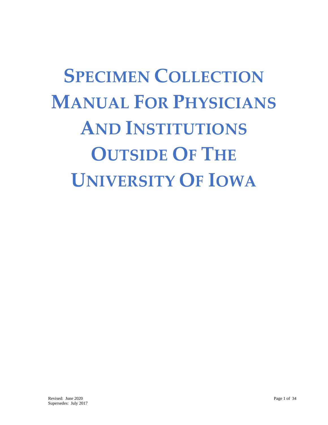**SPECIMEN COLLECTION MANUAL FOR PHYSICIANS AND INSTITUTIONS OUTSIDE OF THE UNIVERSITY OF IOWA**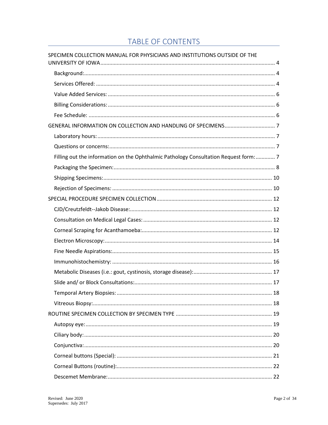# **TABLE OF CONTENTS**

| SPECIMEN COLLECTION MANUAL FOR PHYSICIANS AND INSTITUTIONS OUTSIDE OF THE            |  |
|--------------------------------------------------------------------------------------|--|
|                                                                                      |  |
|                                                                                      |  |
|                                                                                      |  |
|                                                                                      |  |
|                                                                                      |  |
|                                                                                      |  |
|                                                                                      |  |
|                                                                                      |  |
|                                                                                      |  |
| Filling out the information on the Ophthalmic Pathology Consultation Request form: 7 |  |
|                                                                                      |  |
|                                                                                      |  |
|                                                                                      |  |
|                                                                                      |  |
|                                                                                      |  |
|                                                                                      |  |
|                                                                                      |  |
|                                                                                      |  |
|                                                                                      |  |
|                                                                                      |  |
|                                                                                      |  |
|                                                                                      |  |
|                                                                                      |  |
|                                                                                      |  |
|                                                                                      |  |
|                                                                                      |  |
|                                                                                      |  |
|                                                                                      |  |
|                                                                                      |  |
|                                                                                      |  |
|                                                                                      |  |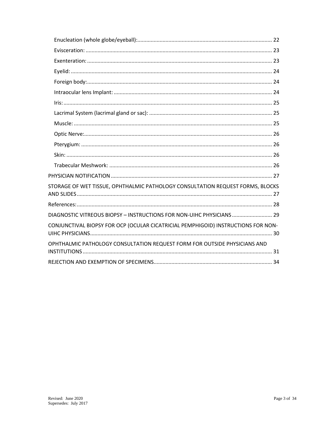| STORAGE OF WET TISSUE, OPHTHALMIC PATHOLOGY CONSULTATION REQUEST FORMS, BLOCKS    |
|-----------------------------------------------------------------------------------|
|                                                                                   |
| DIAGNOSTIC VITREOUS BIOPSY - INSTRUCTIONS FOR NON-UIHC PHYSICIANS  29             |
| CONJUNCTIVAL BIOPSY FOR OCP (OCULAR CICATRICIAL PEMPHIGOID) INSTRUCTIONS FOR NON- |
| OPHTHALMIC PATHOLOGY CONSULTATION REQUEST FORM FOR OUTSIDE PHYSICIANS AND         |
|                                                                                   |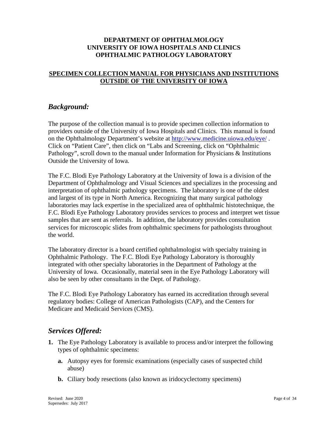#### **DEPARTMENT OF OPHTHALMOLOGY UNIVERSITY OF IOWA HOSPITALS AND CLINICS OPHTHALMIC PATHOLOGY LABORATORY**

### <span id="page-3-0"></span>**SPECIMEN COLLECTION MANUAL FOR PHYSICIANS AND INSTITUTIONS OUTSIDE OF THE UNIVERSITY OF IOWA**

### <span id="page-3-1"></span>*Background:*

The purpose of the collection manual is to provide specimen collection information to providers outside of the University of Iowa Hospitals and Clinics. This manual is found on the Ophthalmology Department's website at <http://www.medicine.uiowa.edu/eye/> . Click on "Patient Care", then click on "Labs and Screening, click on "Ophthalmic Pathology", scroll down to the manual under Information for Physicians & Institutions Outside the University of Iowa.

The F.C. Blodi Eye Pathology Laboratory at the University of Iowa is a division of the Department of Ophthalmology and Visual Sciences and specializes in the processing and interpretation of ophthalmic pathology specimens. The laboratory is one of the oldest and largest of its type in North America. Recognizing that many surgical pathology laboratories may lack expertise in the specialized area of ophthalmic histotechnique, the F.C. Blodi Eye Pathology Laboratory provides services to process and interpret wet tissue samples that are sent as referrals. In addition, the laboratory provides consultation services for microscopic slides from ophthalmic specimens for pathologists throughout the world.

The laboratory director is a board certified ophthalmologist with specialty training in Ophthalmic Pathology. The F.C. Blodi Eye Pathology Laboratory is thoroughly integrated with other specialty laboratories in the Department of Pathology at the University of Iowa. Occasionally, material seen in the Eye Pathology Laboratory will also be seen by other consultants in the Dept. of Pathology.

The F.C. Blodi Eye Pathology Laboratory has earned its accreditation through several regulatory bodies: College of American Pathologists (CAP), and the Centers for Medicare and Medicaid Services (CMS).

### <span id="page-3-2"></span>*Services Offered:*

- **1.** The Eye Pathology Laboratory is available to process and/or interpret the following types of ophthalmic specimens:
	- **a.** Autopsy eyes for forensic examinations (especially cases of suspected child abuse)
	- **b.** Ciliary body resections (also known as iridocyclectomy specimens)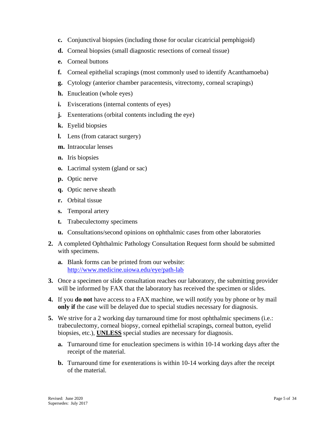- **c.** Conjunctival biopsies (including those for ocular cicatricial pemphigoid)
- **d.** Corneal biopsies (small diagnostic resections of corneal tissue)
- **e.** Corneal buttons
- **f.** Corneal epithelial scrapings (most commonly used to identify Acanthamoeba)
- **g.** Cytology (anterior chamber paracentesis, vitrectomy, corneal scrapings)
- **h.** Enucleation (whole eyes)
- **i.** Eviscerations (internal contents of eyes)
- **j.** Exenterations (orbital contents including the eye)
- **k.** Eyelid biopsies
- **l.** Lens (from cataract surgery)
- **m.** Intraocular lenses
- **n.** Iris biopsies
- **o.** Lacrimal system (gland or sac)
- **p.** Optic nerve
- **q.** Optic nerve sheath
- **r.** Orbital tissue
- **s.** Temporal artery
- **t.** Trabeculectomy specimens
- **u.** Consultations/second opinions on ophthalmic cases from other laboratories
- **2.** A completed Ophthalmic Pathology Consultation Request form should be submitted with specimens.
	- **a.** Blank forms can be printed from our website: <http://www.medicine.uiowa.edu/eye/path-lab>
- **3.** Once a specimen or slide consultation reaches our laboratory, the submitting provider will be informed by FAX that the laboratory has received the specimen or slides.
- **4.** If you **do not** have access to a FAX machine, we will notify you by phone or by mail **only if** the case will be delayed due to special studies necessary for diagnosis.
- **5.** We strive for a 2 working day turnaround time for most ophthalmic specimens (i.e.: trabeculectomy, corneal biopsy, corneal epithelial scrapings, corneal button, eyelid biopsies, etc.), **UNLESS** special studies are necessary for diagnosis.
	- **a.** Turnaround time for enucleation specimens is within 10-14 working days after the receipt of the material.
	- **b.** Turnaround time for exenterations is within 10-14 working days after the receipt of the material.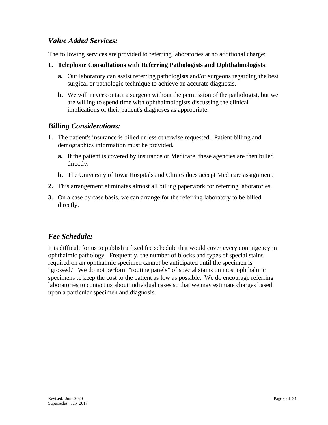## <span id="page-5-0"></span>*Value Added Services:*

The following services are provided to referring laboratories at no additional charge:

- **1. Telephone Consultations with Referring Pathologists and Ophthalmologists**:
	- **a.** Our laboratory can assist referring pathologists and/or surgeons regarding the best surgical or pathologic technique to achieve an accurate diagnosis.
	- **b.** We will never contact a surgeon without the permission of the pathologist, but we are willing to spend time with ophthalmologists discussing the clinical implications of their patient's diagnoses as appropriate.

## <span id="page-5-1"></span>*Billing Considerations:*

- **1.** The patient's insurance is billed unless otherwise requested. Patient billing and demographics information must be provided.
	- **a.** If the patient is covered by insurance or Medicare, these agencies are then billed directly.
	- **b.** The University of Iowa Hospitals and Clinics does accept Medicare assignment.
- **2.** This arrangement eliminates almost all billing paperwork for referring laboratories.
- **3.** On a case by case basis, we can arrange for the referring laboratory to be billed directly.

## <span id="page-5-2"></span>*Fee Schedule:*

It is difficult for us to publish a fixed fee schedule that would cover every contingency in ophthalmic pathology. Frequently, the number of blocks and types of special stains required on an ophthalmic specimen cannot be anticipated until the specimen is "grossed." We do not perform "routine panels" of special stains on most ophthalmic specimens to keep the cost to the patient as low as possible. We do encourage referring laboratories to contact us about individual cases so that we may estimate charges based upon a particular specimen and diagnosis.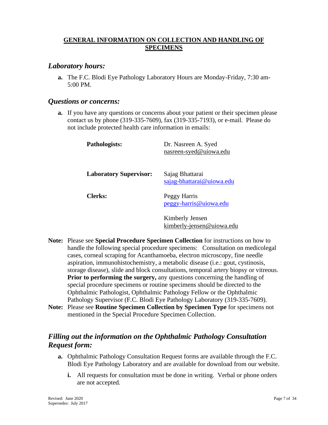#### <span id="page-6-0"></span>**GENERAL INFORMATION ON COLLECTION AND HANDLING OF SPECIMENS**

### <span id="page-6-1"></span>*Laboratory hours:*

**a.** The F.C. Blodi Eye Pathology Laboratory Hours are Monday-Friday, 7:30 am-5:00 PM.

#### <span id="page-6-2"></span>*Questions or concerns:*

**a.** If you have any questions or concerns about your patient or their specimen please contact us by phone (319-335-7609), fax (319-335-7193), or e-mail. Please do not include protected health care information in emails:

| Pathologists:                 | Dr. Nasreen A. Syed<br>nasreen-syed@uiowa.edu |
|-------------------------------|-----------------------------------------------|
| <b>Laboratory Supervisor:</b> | Sajag Bhattarai<br>sajag-bhattarai@uiowa.edu  |
| Clerks:                       | Peggy Harris<br>peggy-harris@uiowa.edu        |
|                               | Kimberly Jensen<br>kimberly-jensen@uiowa.edu  |

- **Note:** Please see **Special Procedure Specimen Collection** for instructions on how to handle the following special procedure specimens: Consultation on medicolegal cases, corneal scraping for Acanthamoeba, electron microscopy, fine needle aspiration, immunohistochemistry, a metabolic disease (i.e.: gout, cystinosis, storage disease), slide and block consultations, temporal artery biopsy or vitreous. **Prior to performing the surgery,** any questions concerning the handling of special procedure specimens or routine specimens should be directed to the Ophthalmic Pathologist, Ophthalmic Pathology Fellow or the Ophthalmic Pathology Supervisor (F.C. Blodi Eye Pathology Laboratory (319-335-7609).
- **Note:** Please see **Routine Specimen Collection by Specimen Type** for specimens not mentioned in the Special Procedure Specimen Collection.

## <span id="page-6-3"></span>*Filling out the information on the Ophthalmic Pathology Consultation Request form:*

- **a.** Ophthalmic Pathology Consultation Request forms are available through the F.C. Blodi Eye Pathology Laboratory and are available for download from our website.
	- **i.** All requests for consultation must be done in writing. Verbal or phone orders are not accepted.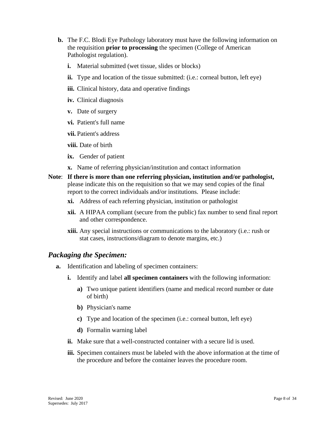- **b.** The F.C. Blodi Eye Pathology laboratory must have the following information on the requisition **prior to processing** the specimen (College of American Pathologist regulation).
	- **i.** Material submitted (wet tissue, slides or blocks)
	- **ii.** Type and location of the tissue submitted: (i.e.: corneal button, left eye)
	- **iii.** Clinical history, data and operative findings
	- **iv.** Clinical diagnosis
	- **v.** Date of surgery
	- **vi.** Patient's full name
	- **vii.** Patient's address
	- **viii.** Date of birth
	- **ix.** Gender of patient
	- **x.** Name of referring physician/institution and contact information
- **Note**: **If there is more than one referring physician, institution and/or pathologist,** please indicate this on the requisition so that we may send copies of the final report to the correct individuals and/or institutions. Please include:
	- **xi.** Address of each referring physician, institution or pathologist
	- **xii.** A HIPAA compliant (secure from the public) fax number to send final report and other correspondence.
	- **xiii.** Any special instructions or communications to the laboratory (i.e.: rush or stat cases, instructions/diagram to denote margins, etc.)

## <span id="page-7-0"></span>*Packaging the Specimen:*

- **a.** Identification and labeling of specimen containers:
	- **i.** Identify and label **all specimen containers** with the following information:
		- **a)** Two unique patient identifiers (name and medical record number or date of birth)
		- **b)** Physician's name
		- **c)** Type and location of the specimen (i.e.: corneal button, left eye)
		- **d)** Formalin warning label
	- **ii.** Make sure that a well-constructed container with a secure lid is used.
	- **iii.** Specimen containers must be labeled with the above information at the time of the procedure and before the container leaves the procedure room.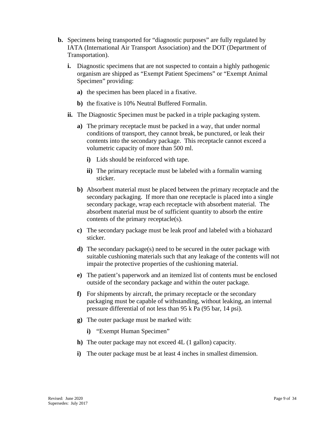- **b.** Specimens being transported for "diagnostic purposes" are fully regulated by IATA (International Air Transport Association) and the DOT (Department of Transportation).
	- **i.** Diagnostic specimens that are not suspected to contain a highly pathogenic organism are shipped as "Exempt Patient Specimens" or "Exempt Animal Specimen" providing:
		- **a)** the specimen has been placed in a fixative.
		- **b)** the fixative is 10% Neutral Buffered Formalin.
	- **ii.** The Diagnostic Specimen must be packed in a triple packaging system.
		- **a)** The primary receptacle must be packed in a way, that under normal conditions of transport, they cannot break, be punctured, or leak their contents into the secondary package. This receptacle cannot exceed a volumetric capacity of more than 500 ml.
			- **i)** Lids should be reinforced with tape.
			- **ii)** The primary receptacle must be labeled with a formalin warning sticker.
		- **b)** Absorbent material must be placed between the primary receptacle and the secondary packaging. If more than one receptacle is placed into a single secondary package, wrap each receptacle with absorbent material. The absorbent material must be of sufficient quantity to absorb the entire contents of the primary receptacle(s).
		- **c)** The secondary package must be leak proof and labeled with a biohazard sticker.
		- **d)** The secondary package(s) need to be secured in the outer package with suitable cushioning materials such that any leakage of the contents will not impair the protective properties of the cushioning material.
		- **e)** The patient's paperwork and an itemized list of contents must be enclosed outside of the secondary package and within the outer package.
		- **f)** For shipments by aircraft, the primary receptacle or the secondary packaging must be capable of withstanding, without leaking, an internal pressure differential of not less than 95 k Pa (95 bar, 14 psi).
		- **g)** The outer package must be marked with:
			- **i)** "Exempt Human Specimen"
		- **h)** The outer package may not exceed 4L (1 gallon) capacity.
		- **i)** The outer package must be at least 4 inches in smallest dimension.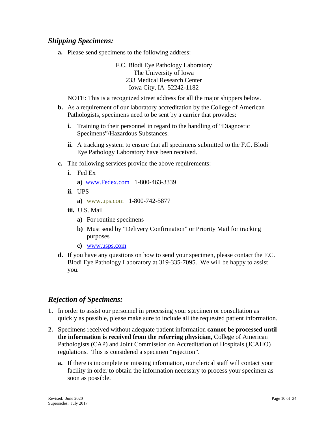## <span id="page-9-0"></span>*Shipping Specimens:*

**a.** Please send specimens to the following address:

F.C. Blodi Eye Pathology Laboratory The University of Iowa 233 Medical Research Center Iowa City, IA 52242-1182

NOTE: This is a recognized street address for all the major shippers below.

- **b.** As a requirement of our laboratory accreditation by the College of American Pathologists, specimens need to be sent by a carrier that provides:
	- **i.** Training to their personnel in regard to the handling of "Diagnostic Specimens"/Hazardous Substances.
	- **ii.** A tracking system to ensure that all specimens submitted to the F.C. Blodi Eye Pathology Laboratory have been received.
- **c.** The following services provide the above requirements:
	- **i.** Fed Ex

```
 a) www.Fedex.com 1-800-463-3339
```
**ii.** UPS

```
a) www.ups.com 1-800-742-5877
```
- **iii.** U.S. Mail
	- **a)** For routine specimens
	- **b)** Must send by "Delivery Confirmation" or Priority Mail for tracking purposes
	- **c)** [www.usps.com](http://www.usps.com/)
- **d.** If you have any questions on how to send your specimen, please contact the F.C. Blodi Eye Pathology Laboratory at 319-335-7095. We will be happy to assist you.

### <span id="page-9-1"></span>*Rejection of Specimens:*

- **1.** In order to assist our personnel in processing your specimen or consultation as quickly as possible, please make sure to include all the requested patient information.
- **2.** Specimens received without adequate patient information **cannot be processed until the information is received from the referring physician**, College of American Pathologists (CAP) and Joint Commission on Accreditation of Hospitals (JCAHO) regulations. This is considered a specimen "rejection".
	- **a.** If there is incomplete or missing information, our clerical staff will contact your facility in order to obtain the information necessary to process your specimen as soon as possible.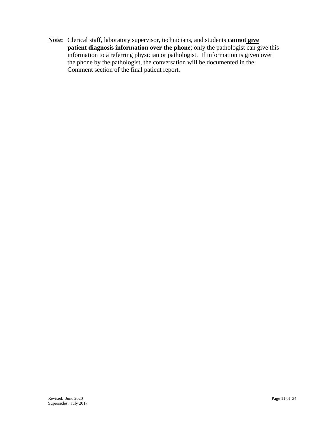**Note:** Clerical staff, laboratory supervisor, technicians, and students **cannot give patient diagnosis information over the phone**; only the pathologist can give this information to a referring physician or pathologist. If information is given over the phone by the pathologist, the conversation will be documented in the Comment section of the final patient report.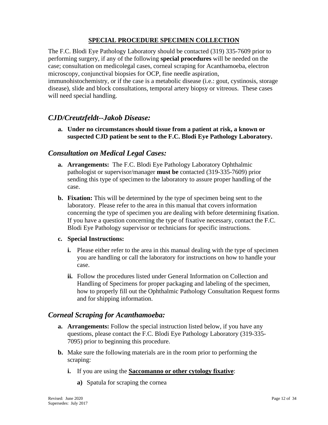### **SPECIAL PROCEDURE SPECIMEN COLLECTION**

<span id="page-11-0"></span>The F.C. Blodi Eye Pathology Laboratory should be contacted (319) 335-7609 prior to performing surgery, if any of the following **special procedures** will be needed on the case; consultation on medicolegal cases, corneal scraping for Acanthamoeba, electron microscopy, conjunctival biopsies for OCP, fine needle aspiration,

immunohistochemistry, or if the case is a metabolic disease (i.e.: gout, cystinosis, storage disease), slide and block consultations, temporal artery biopsy or vitreous. These cases will need special handling.

### <span id="page-11-1"></span>*CJD/Creutzfeldt--Jakob Disease:*

**a. Under no circumstances should tissue from a patient at risk, a known or suspected CJD patient be sent to the F.C. Blodi Eye Pathology Laboratory.**

### <span id="page-11-2"></span>*Consultation on Medical Legal Cases:*

- **a. Arrangements:** The F.C. Blodi Eye Pathology Laboratory Ophthalmic pathologist or supervisor/manager **must be** contacted (319-335-7609) prior sending this type of specimen to the laboratory to assure proper handling of the case.
- **b. Fixation:** This will be determined by the type of specimen being sent to the laboratory. Please refer to the area in this manual that covers information concerning the type of specimen you are dealing with before determining fixation. If you have a question concerning the type of fixative necessary, contact the F.C. Blodi Eye Pathology supervisor or technicians for specific instructions.

#### **c. Special Instructions:**

- **i.** Please either refer to the area in this manual dealing with the type of specimen you are handling or call the laboratory for instructions on how to handle your case.
- **ii.** Follow the procedures listed under General Information on Collection and Handling of Specimens for proper packaging and labeling of the specimen, how to properly fill out the Ophthalmic Pathology Consultation Request forms and for shipping information.

### <span id="page-11-3"></span>*Corneal Scraping for Acanthamoeba:*

- **a. Arrangements:** Follow the special instruction listed below, if you have any questions, please contact the F.C. Blodi Eye Pathology Laboratory (319-335- 7095) prior to beginning this procedure.
- **b.** Make sure the following materials are in the room prior to performing the scraping:
	- **i.** If you are using the **Saccomanno or other cytology fixative**:
		- **a)** Spatula for scraping the cornea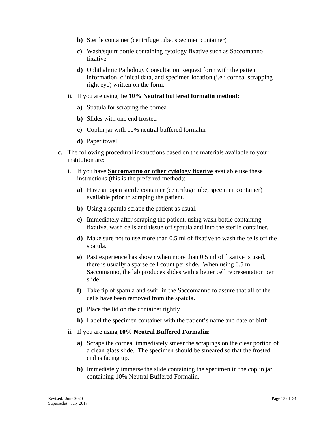- **b)** Sterile container (centrifuge tube, specimen container)
- **c)** Wash/squirt bottle containing cytology fixative such as Saccomanno fixative
- **d)** Ophthalmic Pathology Consultation Request form with the patient information, clinical data, and specimen location (i.e.: corneal scrapping right eye) written on the form.
- **ii.** If you are using the **10% Neutral buffered formalin method:**
	- **a)** Spatula for scraping the cornea
	- **b)** Slides with one end frosted
	- **c)** Coplin jar with 10% neutral buffered formalin
	- **d)** Paper towel
- **c.** The following procedural instructions based on the materials available to your institution are:
	- **i.** If you have **Saccomanno or other cytology fixative** available use these instructions (this is the preferred method):
		- **a)** Have an open sterile container (centrifuge tube, specimen container) available prior to scraping the patient.
		- **b)** Using a spatula scrape the patient as usual.
		- **c)** Immediately after scraping the patient, using wash bottle containing fixative, wash cells and tissue off spatula and into the sterile container.
		- **d)** Make sure not to use more than 0.5 ml of fixative to wash the cells off the spatula.
		- **e)** Past experience has shown when more than 0.5 ml of fixative is used, there is usually a sparse cell count per slide. When using 0.5 ml Saccomanno, the lab produces slides with a better cell representation per slide.
		- **f)** Take tip of spatula and swirl in the Saccomanno to assure that all of the cells have been removed from the spatula.
		- **g)** Place the lid on the container tightly
		- **h)** Label the specimen container with the patient's name and date of birth
	- **ii.** If you are using **10% Neutral Buffered Formalin**:
		- **a)** Scrape the cornea, immediately smear the scrapings on the clear portion of a clean glass slide. The specimen should be smeared so that the frosted end is facing up.
		- **b)** Immediately immerse the slide containing the specimen in the coplin jar containing 10% Neutral Buffered Formalin.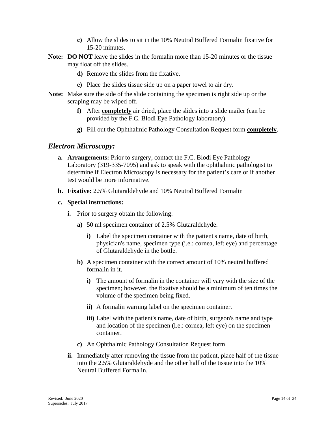- **c)** Allow the slides to sit in the 10% Neutral Buffered Formalin fixative for 15-20 minutes.
- **Note: DO NOT** leave the slides in the formalin more than 15-20 minutes or the tissue may float off the slides.
	- **d)** Remove the slides from the fixative.
	- **e)** Place the slides tissue side up on a paper towel to air dry.
- **Note:** Make sure the side of the slide containing the specimen is right side up or the scraping may be wiped off.
	- **f)** After **completely** air dried, place the slides into a slide mailer (can be provided by the F.C. Blodi Eye Pathology laboratory).
	- **g)** Fill out the Ophthalmic Pathology Consultation Request form **completely**.

#### <span id="page-13-0"></span>*Electron Microscopy:*

- **a. Arrangements:** Prior to surgery, contact the F.C. Blodi Eye Pathology Laboratory (319-335-7095) and ask to speak with the ophthalmic pathologist to determine if Electron Microscopy is necessary for the patient's care or if another test would be more informative.
- **b. Fixative:** 2.5% Glutaraldehyde and 10% Neutral Buffered Formalin
- **c. Special instructions:**
	- **i.** Prior to surgery obtain the following:
		- **a)** 50 ml specimen container of 2.5% Glutaraldehyde.
			- **i)** Label the specimen container with the patient's name, date of birth, physician's name, specimen type (i.e.: cornea, left eye) and percentage of Glutaraldehyde in the bottle.
		- **b)** A specimen container with the correct amount of 10% neutral buffered formalin in it.
			- **i)** The amount of formalin in the container will vary with the size of the specimen; however, the fixative should be a minimum of ten times the volume of the specimen being fixed.
			- **ii)** A formalin warning label on the specimen container.
			- **iii**) Label with the patient's name, date of birth, surgeon's name and type and location of the specimen (i.e.: cornea, left eye) on the specimen container.
		- **c)** An Ophthalmic Pathology Consultation Request form.
	- **ii.** Immediately after removing the tissue from the patient, place half of the tissue into the 2.5% Glutaraldehyde and the other half of the tissue into the 10% Neutral Buffered Formalin.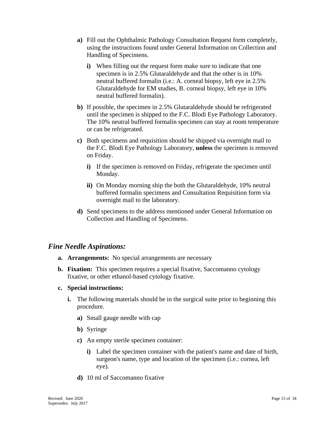- **a)** Fill out the Ophthalmic Pathology Consultation Request form completely, using the instructions found under General Information on Collection and Handling of Specimens.
	- **i)** When filling out the request form make sure to indicate that one specimen is in 2.5% Glutaraldehyde and that the other is in 10% neutral buffered formalin (i.e.: A. corneal biopsy, left eye in 2.5% Glutaraldehyde for EM studies, B. corneal biopsy, left eye in 10% neutral buffered formalin).
- **b)** If possible, the specimen in 2.5% Glutaraldehyde should be refrigerated until the specimen is shipped to the F.C. Blodi Eye Pathology Laboratory. The 10% neutral buffered formalin specimen can stay at room temperature or can be refrigerated.
- **c)** Both specimens and requisition should be shipped via overnight mail to the F.C. Blodi Eye Pathology Laboratory, **unless** the specimen is removed on Friday.
	- **i)** If the specimen is removed on Friday, refrigerate the specimen until Monday.
	- **ii)** On Monday morning ship the both the Glutaraldehyde, 10% neutral buffered formalin specimens and Consultation Requisition form via overnight mail to the laboratory.
- **d)** Send specimens to the address mentioned under General Information on Collection and Handling of Specimens.

#### <span id="page-14-0"></span>*Fine Needle Aspirations:*

- **a. Arrangements:** No special arrangements are necessary
- **b. Fixation:** This specimen requires a special fixative, Saccomanno cytology fixative, or other ethanol-based cytology fixative.
- **c. Special instructions:**
	- **i.** The following materials should be in the surgical suite prior to beginning this procedure.
		- **a)** Small gauge needle with cap
		- **b)** Syringe
		- **c)** An empty sterile specimen container:
			- **i)** Label the specimen container with the patient's name and date of birth, surgeon's name, type and location of the specimen (i.e.: cornea, left eye).
		- **d)** 10 ml of Saccomanno fixative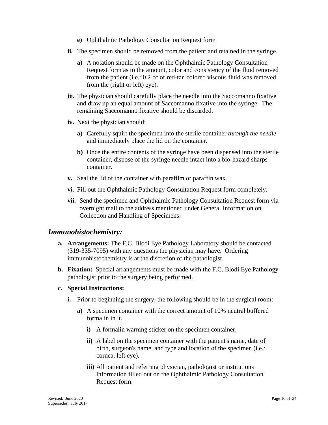- **e)** Ophthalmic Pathology Consultation Request form
- **ii.** The specimen should be removed from the patient and retained in the syringe.
	- **a)** A notation should be made on the Ophthalmic Pathology Consultation Request form as to the amount, color and consistency of the fluid removed from the patient (i.e.: 0.2 cc of red-tan colored viscous fluid was removed from the (right or left) eye).
- **iii.** The physician should carefully place the needle into the Saccomanno fixative and draw up an equal amount of Saccomanno fixative into the syringe. The remaining Saccomanno fixative should be discarded.
- **iv.** Next the physician should:
	- **a)** Carefully squirt the specimen into the sterile container *through the needle* and immediately place the lid on the container.
	- **b)** Once the entire contents of the syringe have been dispensed into the sterile container, dispose of the syringe needle intact into a bio-hazard sharps container.
- **v.** Seal the lid of the container with parafilm or paraffin wax.
- **vi.** Fill out the Ophthalmic Pathology Consultation Request form completely.
- **vii.** Send the specimen and Ophthalmic Pathology Consultation Request form via overnight mail to the address mentioned under General Information on Collection and Handling of Specimens.

#### <span id="page-15-0"></span>*Immunohistochemistry:*

- **a. Arrangements:** The F.C. Blodi Eye Pathology Laboratory should be contacted (319-335-7095) with any questions the physician may have. Ordering immunohistochemistry is at the discretion of the pathologist.
- **b. Fixation:** Special arrangements must be made with the F.C. Blodi Eye Pathology pathologist prior to the surgery being performed.

#### **c. Special Instructions:**

- **i.** Prior to beginning the surgery, the following should be in the surgical room:
	- **a)** A specimen container with the correct amount of 10% neutral buffered formalin in it.
		- **i)** A formalin warning sticker on the specimen container.
		- **ii)** A label on the specimen container with the patient's name, date of birth, surgeon's name, and type and location of the specimen (i.e.: cornea, left eye).
		- **iii)** All patient and referring physician, pathologist or institutions information filled out on the Ophthalmic Pathology Consultation Request form.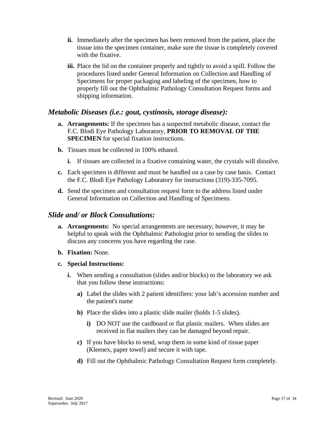- **ii.** Immediately after the specimen has been removed from the patient, place the tissue into the specimen container, make sure the tissue is completely covered with the fixative.
- **iii.** Place the lid on the container properly and tightly to avoid a spill. Follow the procedures listed under General Information on Collection and Handling of Specimens for proper packaging and labeling of the specimen, how to properly fill out the Ophthalmic Pathology Consultation Request forms and shipping information.

### <span id="page-16-0"></span>*Metabolic Diseases (i.e.: gout, cystinosis, storage disease):*

- **a. Arrangements:** If the specimen has a suspected metabolic disease, contact the F.C. Blodi Eye Pathology Laboratory, **PRIOR TO REMOVAL OF THE SPECIMEN** for special fixation instructions.
- **b.** Tissues must be collected in 100% ethanol.
	- **i.** If tissues are collected in a fixative containing water, the crystals will dissolve.
- **c.** Each specimen is different and must be handled on a case by case basis. Contact the F.C. Blodi Eye Pathology Laboratory for instructions (319)-335-7095.
- **d.** Send the specimen and consultation request form to the address listed under General Information on Collection and Handling of Specimens.

#### <span id="page-16-1"></span>*Slide and/ or Block Consultations:*

- **a. Arrangements:** No special arrangements are necessary; however, it may be helpful to speak with the Ophthalmic Pathologist prior to sending the slides to discuss any concerns you have regarding the case.
- **b. Fixation:** None.
- **c. Special Instructions:**
	- **i.** When sending a consultation (slides and/or blocks) to the laboratory we ask that you follow these instructions:
		- **a)** Label the slides with 2 patient identifiers: your lab's accession number and the patient's name
		- **b)** Place the slides into a plastic slide mailer (holds 1-5 slides).
			- **i)** DO NOT use the cardboard or flat plastic mailers. When slides are received in flat mailers they can be damaged beyond repair.
		- **c)** If you have blocks to send, wrap them in some kind of tissue paper (Kleenex, paper towel) and secure it with tape.
		- **d)** Fill out the Ophthalmic Pathology Consultation Request form completely.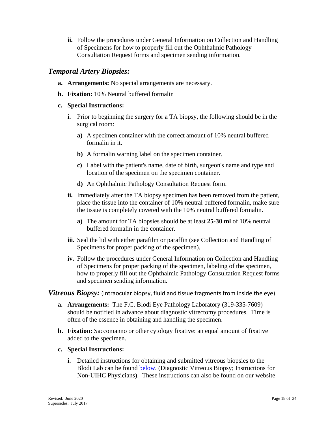**ii.** Follow the procedures under General Information on Collection and Handling of Specimens for how to properly fill out the Ophthalmic Pathology Consultation Request forms and specimen sending information.

### <span id="page-17-0"></span>*Temporal Artery Biopsies:*

- **a. Arrangements:** No special arrangements are necessary.
- **b. Fixation:** 10% Neutral buffered formalin

#### **c. Special Instructions:**

- **i.** Prior to beginning the surgery for a TA biopsy, the following should be in the surgical room:
	- **a)** A specimen container with the correct amount of 10% neutral buffered formalin in it.
	- **b)** A formalin warning label on the specimen container.
	- **c)** Label with the patient's name, date of birth, surgeon's name and type and location of the specimen on the specimen container.
	- **d)** An Ophthalmic Pathology Consultation Request form.
- **ii.** Immediately after the TA biopsy specimen has been removed from the patient, place the tissue into the container of 10% neutral buffered formalin, make sure the tissue is completely covered with the 10% neutral buffered formalin.
	- **a)** The amount for TA biopsies should be at least **25-30 ml** of 10% neutral buffered formalin in the container.
- **iii.** Seal the lid with either parafilm or paraffin (see Collection and Handling of Specimens for proper packing of the specimen).
- **iv.** Follow the procedures under General Information on Collection and Handling of Specimens for proper packing of the specimen, labeling of the specimen, how to properly fill out the Ophthalmic Pathology Consultation Request forms and specimen sending information.

#### <span id="page-17-1"></span>*Vitreous Biopsy:* (Intraocular biopsy, fluid and tissue fragments from inside the eye)

- **a. Arrangements:** The F.C. Blodi Eye Pathology Laboratory (319-335-7609) should be notified in advance about diagnostic vitrectomy procedures. Time is often of the essence in obtaining and handling the specimen.
- **b. Fixation:** Saccomanno or other cytology fixative: an equal amount of fixative added to the specimen.
- **c. Special Instructions:**
	- **i.** Detailed instructions for obtaining and submitted vitreous biopsies to the Blodi Lab can be found **below**. (Diagnostic Vitreous Biopsy; Instructions for Non-UIHC Physicians). These instructions can also be found on our website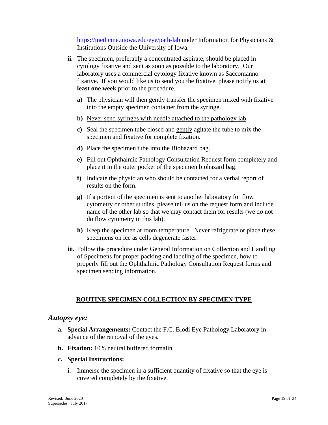<https://medicine.uiowa.edu/eye/path-lab> under Information for Physicians & Institutions Outside the University of Iowa.

- **ii.** The specimen, preferably a concentrated aspirate, should be placed in cytology fixative and sent as soon as possible to the laboratory. Our laboratory uses a commercial cytology fixative known as Saccomanno fixative. If you would like us to send you the fixative, please notify us **at least one week** prior to the procedure.
	- **a)** The physician will then gently transfer the specimen mixed with fixative into the empty specimen container from the syringe.
	- **b)** Never send syringes with needle attached to the pathology lab.
	- **c)** Seal the specimen tube closed and gently agitate the tube to mix the specimen and fixative for complete fixation.
	- **d)** Place the specimen tube into the Biohazard bag.
	- **e)** Fill out Ophthalmic Pathology Consultation Request form completely and place it in the outer pocket of the specimen biohazard bag.
	- **f)** Indicate the physician who should be contacted for a verbal report of results on the form.
	- **g)** If a portion of the specimen is sent to another laboratory for flow cytometry or other studies, please tell us on the request form and include name of the other lab so that we may contact them for results (we do not do flow cytometry in this lab).
	- **h)** Keep the specimen at room temperature. Never refrigerate or place these specimens on ice as cells degenerate faster.
- **iii.** Follow the procedure under General Information on Collection and Handling of Specimens for proper packing and labeling of the specimen, how to properly fill out the Ophthalmic Pathology Consultation Request forms and specimen sending information.

#### **ROUTINE SPECIMEN COLLECTION BY SPECIMEN TYPE**

#### <span id="page-18-1"></span><span id="page-18-0"></span>*Autopsy eye:*

- **a. Special Arrangements:** Contact the F.C. Blodi Eye Pathology Laboratory in advance of the removal of the eyes.
- **b. Fixation:** 10% neutral buffered formalin.
- **c. Special Instructions:**
	- **i.** Immerse the specimen in a sufficient quantity of fixative so that the eye is covered completely by the fixative.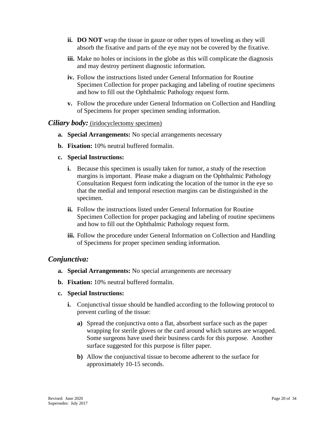- **ii. DO NOT** wrap the tissue in gauze or other types of toweling as they will absorb the fixative and parts of the eye may not be covered by the fixative.
- **iii.** Make no holes or incisions in the globe as this will complicate the diagnosis and may destroy pertinent diagnostic information.
- **iv.** Follow the instructions listed under General Information for Routine Specimen Collection for proper packaging and labeling of routine specimens and how to fill out the Ophthalmic Pathology request form.
- **v.** Follow the procedure under General Information on Collection and Handling of Specimens for proper specimen sending information.

#### <span id="page-19-0"></span>*Ciliary body:* (iridocyclectomy specimen)

- **a. Special Arrangements:** No special arrangements necessary
- **b. Fixation:** 10% neutral buffered formalin.
- **c. Special Instructions:**
	- **i.** Because this specimen is usually taken for tumor, a study of the resection margins is important. Please make a diagram on the Ophthalmic Pathology Consultation Request form indicating the location of the tumor in the eye so that the medial and temporal resection margins can be distinguished in the specimen.
	- **ii.** Follow the instructions listed under General Information for Routine Specimen Collection for proper packaging and labeling of routine specimens and how to fill out the Ophthalmic Pathology request form.
	- **iii.** Follow the procedure under General Information on Collection and Handling of Specimens for proper specimen sending information.

#### <span id="page-19-1"></span>*Conjunctiva:*

- **a. Special Arrangements:** No special arrangements are necessary
- **b. Fixation:** 10% neutral buffered formalin.
- **c. Special Instructions:**
	- **i.** Conjunctival tissue should be handled according to the following protocol to prevent curling of the tissue:
		- **a)** Spread the conjunctiva onto a flat, absorbent surface such as the paper wrapping for sterile gloves or the card around which sutures are wrapped. Some surgeons have used their business cards for this purpose. Another surface suggested for this purpose is filter paper.
		- **b)** Allow the conjunctival tissue to become adherent to the surface for approximately 10-15 seconds.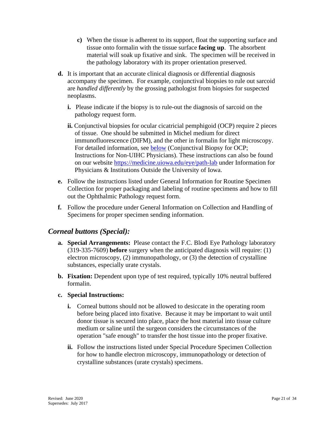- **c)** When the tissue is adherent to its support, float the supporting surface and tissue onto formalin with the tissue surface **facing up**. The absorbent material will soak up fixative and sink. The specimen will be received in the pathology laboratory with its proper orientation preserved.
- **d.** It is important that an accurate clinical diagnosis or differential diagnosis accompany the specimen. For example, conjunctival biopsies to rule out sarcoid are *handled differently* by the grossing pathologist from biopsies for suspected neoplasms.
	- **i.** Please indicate if the biopsy is to rule-out the diagnosis of sarcoid on the pathology request form.
	- **ii.** Conjunctival biopsies for ocular cicatricial pemphigoid (OCP) require 2 pieces of tissue. One should be submitted in Michel medium for direct immunofluorescence (DIFM), and the other in formalin for light microscopy. For detailed information, see [below](#page-29-0) (Conjunctival Biopsy for OCP; Instructions for Non-UIHC Physicians). These instructions can also be found on our website<https://medicine.uiowa.edu/eye/path-lab> under Information for Physicians & Institutions Outside the University of Iowa.
- **e.** Follow the instructions listed under General Information for Routine Specimen Collection for proper packaging and labeling of routine specimens and how to fill out the Ophthalmic Pathology request form.
- **f.** Follow the procedure under General Information on Collection and Handling of Specimens for proper specimen sending information.

## <span id="page-20-0"></span>*Corneal buttons (Special):*

- **a. Special Arrangements:** Please contact the F.C. Blodi Eye Pathology laboratory (319-335-7609) **before** surgery when the anticipated diagnosis will require: (1) electron microscopy, (2) immunopathology, or (3) the detection of crystalline substances, especially urate crystals.
- **b. Fixation:** Dependent upon type of test required, typically 10% neutral buffered formalin.
- **c. Special Instructions:**
	- **i.** Corneal buttons should not be allowed to desiccate in the operating room before being placed into fixative. Because it may be important to wait until donor tissue is secured into place, place the host material into tissue culture medium or saline until the surgeon considers the circumstances of the operation "safe enough" to transfer the host tissue into the proper fixative.
	- **ii.** Follow the instructions listed under Special Procedure Specimen Collection for how to handle electron microscopy, immunopathology or detection of crystalline substances (urate crystals) specimens.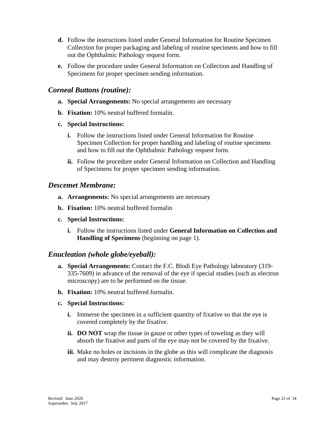- **d.** Follow the instructions listed under General Information for Routine Specimen Collection for proper packaging and labeling of routine specimens and how to fill out the Ophthalmic Pathology request form.
- **e.** Follow the procedure under General Information on Collection and Handling of Specimens for proper specimen sending information.

### <span id="page-21-0"></span>*Corneal Buttons (routine):*

- **a. Special Arrangements:** No special arrangements are necessary
- **b. Fixation:** 10% neutral buffered formalin.
- **c. Special Instructions:**
	- **i.** Follow the instructions listed under General Information for Routine Specimen Collection for proper handling and labeling of routine specimens and how to fill out the Ophthalmic Pathology request form.
	- **ii.** Follow the procedure under General Information on Collection and Handling of Specimens for proper specimen sending information.

#### <span id="page-21-1"></span>*Descemet Membrane:*

- **a. Arrangements:** No special arrangements are necessary
- **b. Fixation:** 10% neutral buffered formalin
- **c. Special Instructions:**
	- **i.** Follow the instructions listed under **General Information on Collection and Handling of Specimens** (beginning on page 1).

#### <span id="page-21-2"></span>*Enucleation (whole globe/eyeball):*

- **a. Special Arrangements:** Contact the F.C. Blodi Eye Pathology laboratory (319- 335-7609) in advance of the removal of the eye if special studies (such as electron microscopy) are to be performed on the tissue.
- **b. Fixation:** 10% neutral buffered formalin.

#### **c. Special Instructions:**

- **i.** Immerse the specimen in a sufficient quantity of fixative so that the eye is covered completely by the fixative.
- **ii. DO NOT** wrap the tissue in gauze or other types of toweling as they will absorb the fixative and parts of the eye may not be covered by the fixative.
- **iii.** Make no holes or incisions in the globe as this will complicate the diagnosis and may destroy pertinent diagnostic information.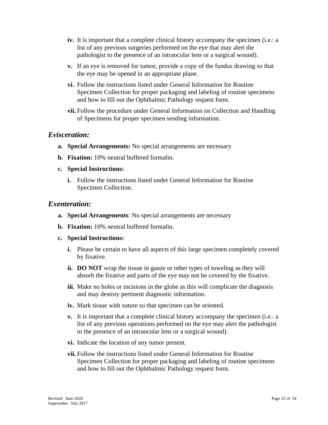- **iv.** It is important that a complete clinical history accompany the specimen (i.e.: a list of any previous surgeries performed on the eye that may alert the pathologist to the presence of an intraocular lens or a surgical wound).
- **v.** If an eye is removed for tumor, provide a copy of the fundus drawing so that the eye may be opened in an appropriate plane.
- **vi.** Follow the instructions listed under General Information for Routine Specimen Collection for proper packaging and labeling of routine specimens and how to fill out the Ophthalmic Pathology request form.
- **vii.** Follow the procedure under General Information on Collection and Handling of Specimens for proper specimen sending information.

#### <span id="page-22-0"></span>*Evisceration:*

- **a. Special Arrangements:** No special arrangements are necessary
- **b. Fixation:** 10% neutral buffered formalin.
- **c. Special Instructions:**
	- **i.** Follow the instructions listed under General Information for Routine Specimen Collection.

#### <span id="page-22-1"></span>*Exenteration:*

- **a. Special Arrangements**: No special arrangements are necessary
- **b. Fixation:** 10% neutral buffered formalin.

#### **c. Special Instructions:**

- **i.** Please be certain to have all aspects of this large specimen completely covered by fixative.
- **ii. DO NOT** wrap the tissue in gauze or other types of toweling as they will absorb the fixative and parts of the eye may not be covered by the fixative.
- **iii.** Make no holes or incisions in the globe as this will complicate the diagnosis and may destroy pertinent diagnostic information.
- **iv.** Mark tissue with suture so that specimen can be oriented.
- **v.** It is important that a complete clinical history accompany the specimen (i.e.: a list of any previous operations performed on the eye may alert the pathologist to the presence of an intraocular lens or a surgical wound).
- **vi.** Indicate the location of any tumor present.
- **vii.** Follow the instructions listed under General Information for Routine Specimen Collection for proper packaging and labeling of routine specimens and how to fill out the Ophthalmic Pathology request form.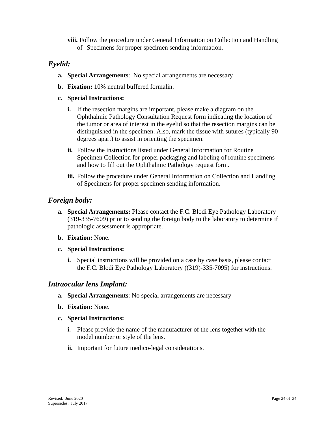**viii.** Follow the procedure under General Information on Collection and Handling of Specimens for proper specimen sending information.

## <span id="page-23-0"></span>*Eyelid:*

- **a. Special Arrangements**: No special arrangements are necessary
- **b. Fixation:** 10% neutral buffered formalin.
- **c. Special Instructions:**
	- **i.** If the resection margins are important, please make a diagram on the Ophthalmic Pathology Consultation Request form indicating the location of the tumor or area of interest in the eyelid so that the resection margins can be distinguished in the specimen. Also, mark the tissue with sutures (typically 90 degrees apart) to assist in orienting the specimen.
	- **ii.** Follow the instructions listed under General Information for Routine Specimen Collection for proper packaging and labeling of routine specimens and how to fill out the Ophthalmic Pathology request form.
	- **iii.** Follow the procedure under General Information on Collection and Handling of Specimens for proper specimen sending information.

### <span id="page-23-1"></span>*Foreign body:*

- **a. Special Arrangements:** Please contact the F.C. Blodi Eye Pathology Laboratory (319-335-7609) prior to sending the foreign body to the laboratory to determine if pathologic assessment is appropriate.
- **b. Fixation:** None.
- **c. Special Instructions:**
	- **i.** Special instructions will be provided on a case by case basis, please contact the F.C. Blodi Eye Pathology Laboratory ((319)-335-7095) for instructions.

#### <span id="page-23-2"></span>*Intraocular lens Implant:*

- **a. Special Arrangements**: No special arrangements are necessary
- **b. Fixation:** None.
- **c. Special Instructions:** 
	- **i.** Please provide the name of the manufacturer of the lens together with the model number or style of the lens.
	- **ii.** Important for future medico-legal considerations.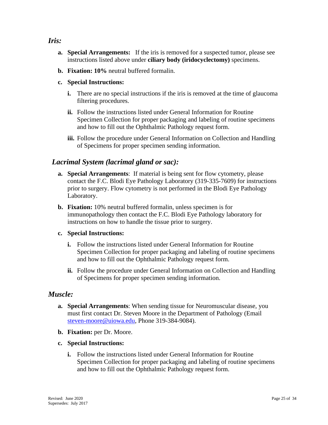### <span id="page-24-0"></span>*Iris:*

- **a. Special Arrangements:** If the iris is removed for a suspected tumor, please see instructions listed above under **ciliary body (iridocyclectomy)** specimens.
- **b. Fixation: 10%** neutral buffered formalin.
- **c. Special Instructions:**
	- **i.** There are no special instructions if the iris is removed at the time of glaucoma filtering procedures.
	- **ii.** Follow the instructions listed under General Information for Routine Specimen Collection for proper packaging and labeling of routine specimens and how to fill out the Ophthalmic Pathology request form.
	- **iii.** Follow the procedure under General Information on Collection and Handling of Specimens for proper specimen sending information.

### <span id="page-24-1"></span> *Lacrimal System (lacrimal gland or sac):*

- **a. Special Arrangements**: If material is being sent for flow cytometry, please contact the F.C. Blodi Eye Pathology Laboratory (319-335-7609) for instructions prior to surgery. Flow cytometry is not performed in the Blodi Eye Pathology Laboratory.
- **b. Fixation:** 10% neutral buffered formalin, unless specimen is for immunopathology then contact the F.C. Blodi Eye Pathology laboratory for instructions on how to handle the tissue prior to surgery.

#### **c. Special Instructions:**

- **i.** Follow the instructions listed under General Information for Routine Specimen Collection for proper packaging and labeling of routine specimens and how to fill out the Ophthalmic Pathology request form.
- **ii.** Follow the procedure under General Information on Collection and Handling of Specimens for proper specimen sending information.

#### <span id="page-24-2"></span>*Muscle:*

- **a. Special Arrangements**: When sending tissue for Neuromuscular disease, you must first contact Dr. Steven Moore in the Department of Pathology (Email [steven-moore@uiowa.edu,](mailto:steven-moore@uiowa.edu) Phone 319-384-9084).
- **b. Fixation:** per Dr. Moore.
- **c. Special Instructions:**
	- **i.** Follow the instructions listed under General Information for Routine Specimen Collection for proper packaging and labeling of routine specimens and how to fill out the Ophthalmic Pathology request form.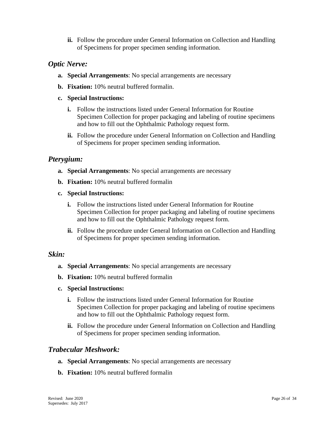**ii.** Follow the procedure under General Information on Collection and Handling of Specimens for proper specimen sending information.

## <span id="page-25-0"></span>*Optic Nerve:*

- **a. Special Arrangements**: No special arrangements are necessary
- **b. Fixation:** 10% neutral buffered formalin.
- **c. Special Instructions:**
	- **i.** Follow the instructions listed under General Information for Routine Specimen Collection for proper packaging and labeling of routine specimens and how to fill out the Ophthalmic Pathology request form.
	- **ii.** Follow the procedure under General Information on Collection and Handling of Specimens for proper specimen sending information.

### <span id="page-25-1"></span>*Pterygium:*

- **a. Special Arrangements**: No special arrangements are necessary
- **b. Fixation:** 10% neutral buffered formalin
- **c. Special Instructions:**
	- **i.** Follow the instructions listed under General Information for Routine Specimen Collection for proper packaging and labeling of routine specimens and how to fill out the Ophthalmic Pathology request form.
	- **ii.** Follow the procedure under General Information on Collection and Handling of Specimens for proper specimen sending information.

#### <span id="page-25-2"></span>*Skin:*

- **a. Special Arrangements**: No special arrangements are necessary
- **b. Fixation:** 10% neutral buffered formalin
- **c. Special Instructions:**
	- **i.** Follow the instructions listed under General Information for Routine Specimen Collection for proper packaging and labeling of routine specimens and how to fill out the Ophthalmic Pathology request form.
	- **ii.** Follow the procedure under General Information on Collection and Handling of Specimens for proper specimen sending information.

### <span id="page-25-3"></span>*Trabecular Meshwork:*

- **a. Special Arrangements**: No special arrangements are necessary
- **b. Fixation:** 10% neutral buffered formalin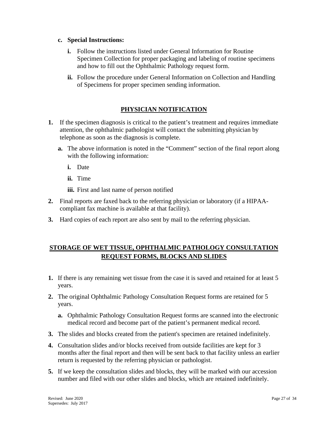#### **c. Special Instructions:**

- **i.** Follow the instructions listed under General Information for Routine Specimen Collection for proper packaging and labeling of routine specimens and how to fill out the Ophthalmic Pathology request form.
- **ii.** Follow the procedure under General Information on Collection and Handling of Specimens for proper specimen sending information.

#### **PHYSICIAN NOTIFICATION**

- <span id="page-26-0"></span>**1.** If the specimen diagnosis is critical to the patient's treatment and requires immediate attention, the ophthalmic pathologist will contact the submitting physician by telephone as soon as the diagnosis is complete.
	- **a.** The above information is noted in the "Comment" section of the final report along with the following information:
		- **i.** Date
		- **ii.** Time
		- **iii.** First and last name of person notified
- **2.** Final reports are faxed back to the referring physician or laboratory (if a HIPAAcompliant fax machine is available at that facility).
- **3.** Hard copies of each report are also sent by mail to the referring physician.

### <span id="page-26-1"></span>**STORAGE OF WET TISSUE, OPHTHALMIC PATHOLOGY CONSULTATION REQUEST FORMS, BLOCKS AND SLIDES**

- **1.** If there is any remaining wet tissue from the case it is saved and retained for at least 5 years.
- **2.** The original Ophthalmic Pathology Consultation Request forms are retained for 5 years.
	- **a.** Ophthalmic Pathology Consultation Request forms are scanned into the electronic medical record and become part of the patient's permanent medical record.
- **3.** The slides and blocks created from the patient's specimen are retained indefinitely.
- **4.** Consultation slides and/or blocks received from outside facilities are kept for 3 months after the final report and then will be sent back to that facility unless an earlier return is requested by the referring physician or pathologist.
- **5.** If we keep the consultation slides and blocks, they will be marked with our accession number and filed with our other slides and blocks, which are retained indefinitely.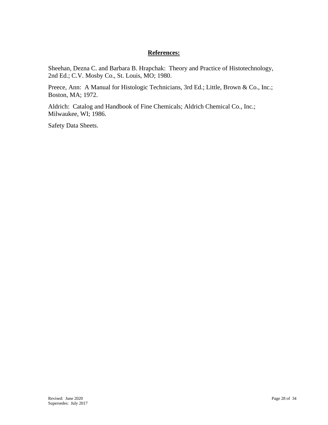#### **References:**

<span id="page-27-0"></span>Sheehan, Dezna C. and Barbara B. Hrapchak: Theory and Practice of Histotechnology, 2nd Ed.; C.V. Mosby Co., St. Louis, MO; 1980.

Preece, Ann: A Manual for Histologic Technicians, 3rd Ed.; Little, Brown & Co., Inc.; Boston, MA; 1972.

Aldrich: Catalog and Handbook of Fine Chemicals; Aldrich Chemical Co., Inc.; Milwaukee, WI; 1986.

Safety Data Sheets.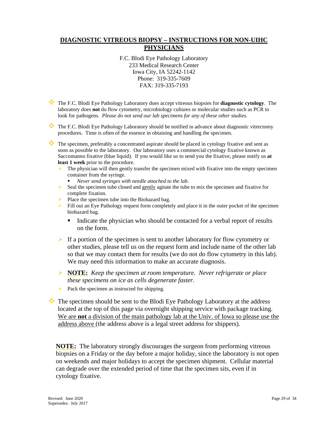#### <span id="page-28-0"></span>**DIAGNOSTIC VITREOUS BIOPSY – INSTRUCTIONS FOR NON-UIHC PHYSICIANS**

F.C. Blodi Eye Pathology Laboratory 233 Medical Research Center Iowa City, IA 52242-1142 Phone: 319-335-7609 FAX: 319-335-7193

- The F.C. Blodi Eye Pathology Laboratory does accept vitreous biopsies for **diagnostic cytology**. The laboratory does **not** do flow cytometry, microbiology cultures or molecular studies such as PCR to look for pathogens. *Please do not send our lab specimens for any of these other studies.*
- The F.C. Blodi Eye Pathology Laboratory should be notified in advance about diagnostic vitrectomy procedures. Time is often of the essence in obtaining and handling the specimen.

The specimen, preferably a concentrated aspirate should be placed in cytology fixative and sent as soon as possible to the laboratory. Our laboratory uses a commercial cytology fixative known as Saccomanno fixative (blue liquid). If you would like us to send you the fixative, please notify us **at least 1 week** prior to the procedure.

- The physician will then gently transfer the specimen mixed with fixative into the empty specimen container from the syringe.
	- *Never send syringes with needle attached to the lab.*
- $\triangleright$  Seal the specimen tube closed and gently agitate the tube to mix the specimen and fixative for complete fixation.
- $\triangleright$  Place the specimen tube into the Biohazard bag.
- $\triangleright$  Fill out an Eye Pathology request form completely and place it in the outer pocket of the specimen biohazard bag.
	- Indicate the physician who should be contacted for a verbal report of results on the form.
- If a portion of the specimen is sent to another laboratory for flow cytometry or other studies, please tell us on the request form and include name of the other lab so that we may contact them for results (we do not do flow cytometry in this lab). We may need this information to make an accurate diagnosis.
- **NOTE:** *Keep the specimen at room temperature. Never refrigerate or place these specimens on ice as cells degenerate faster.*
- $\triangleright$  Pack the specimen as instructed for shipping.

The specimen should be sent to the Blodi Eye Pathology Laboratory at the address located at the top of this page via overnight shipping service with package tracking. We are **not** a division of the main pathology lab at the Univ. of Iowa so please use the address above (the address above is a legal street address for shippers).

**NOTE:** The laboratory strongly discourages the surgeon from performing vitreous biopsies on a Friday or the day before a major holiday, since the laboratory is not open on weekends and major holidays to accept the specimen shipment. Cellular material can degrade over the extended period of time that the specimen sits, even if in cytology fixative.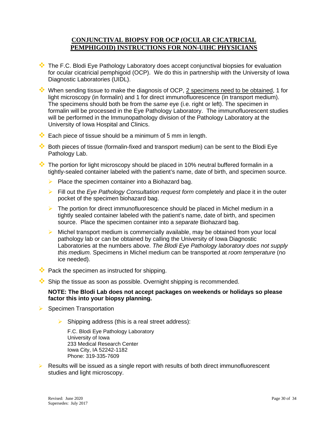#### <span id="page-29-0"></span>**CONJUNCTIVAL BIOPSY FOR OCP (OCULAR CICATRICIAL PEMPHIGOID) INSTRUCTIONS FOR NON-UIHC PHYSICIANS**

- The F.C. Blodi Eye Pathology Laboratory does accept conjunctival biopsies for evaluation for ocular cicatricial pemphigoid (OCP). We do this in partnership with the University of Iowa Diagnostic Laboratories (UIDL).
- When sending tissue to make the diagnosis of OCP, 2 specimens need to be obtained, 1 for light microscopy (in formalin) and 1 for direct immunofluorescence (in transport medium). The specimens should both be from the *same* eye (i.e. right or left). The specimen in formalin will be processed in the Eye Pathology Laboratory. The immunofluorescent studies will be performed in the Immunopathology division of the Pathology Laboratory at the University of Iowa Hospital and Clinics.
- $\bullet\bullet$  Each piece of tissue should be a minimum of 5 mm in length.
- Both pieces of tissue (formalin-fixed and transport medium) can be sent to the Blodi Eye Pathology Lab.
- $\cdot \cdot$  The portion for light microscopy should be placed in 10% neutral buffered formalin in a tightly-sealed container labeled with the patient's name, date of birth, and specimen source.
	- $\triangleright$  Place the specimen container into a Biohazard bag.
	- Fill out the *Eye Pathology Consultation request form* completely and place it in the outer pocket of the specimen biohazard bag.
	- $\triangleright$  The portion for direct immunofluorescence should be placed in Michel medium in a tightly sealed container labeled with the patient's name, date of birth, and specimen source. Place the specimen container into a *separate* Biohazard bag.
	- $\triangleright$  Michel transport medium is commercially available, may be obtained from your local pathology lab or can be obtained by calling the University of Iowa Diagnostic Laboratories at the numbers above. *The Blodi Eye Pathology laboratory does not supply this medium.* Specimens in Michel medium can be transported at *room temperature* (no ice needed).
- $\bullet\bullet$  Pack the specimen as instructed for shipping.
- $\bullet\bullet$  Ship the tissue as soon as possible. Overnight shipping is recommended.

#### **NOTE: The Blodi Lab does not accept packages on weekends or holidays so please factor this into your biopsy planning.**

- $\triangleright$  Specimen Transportation
	- $\triangleright$  Shipping address (this is a real street address):

F.C. Blodi Eye Pathology Laboratory University of Iowa 233 Medical Research Center Iowa City, IA 52242-1182 Phone: 319-335-7609

 $\triangleright$  Results will be issued as a single report with results of both direct immunofluorescent studies and light microscopy.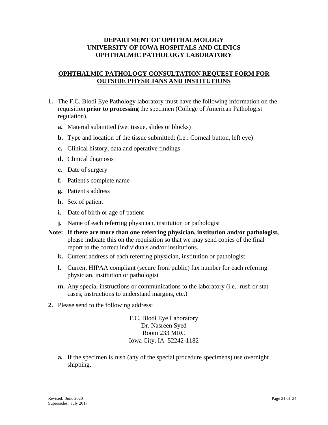#### **DEPARTMENT OF OPHTHALMOLOGY UNIVERSITY OF IOWA HOSPITALS AND CLINICS OPHTHALMIC PATHOLOGY LABORATORY**

#### <span id="page-30-0"></span>**OPHTHALMIC PATHOLOGY CONSULTATION REQUEST FORM FOR OUTSIDE PHYSICIANS AND INSTITUTIONS**

- **1.** The F.C. Blodi Eye Pathology laboratory must have the following information on the requisition **prior to processing** the specimen (College of American Pathologist regulation).
	- **a.** Material submitted (wet tissue, slides or blocks)
	- **b.** Type and location of the tissue submitted: (i.e.: Corneal button, left eye)
	- **c.** Clinical history, data and operative findings
	- **d.** Clinical diagnosis
	- **e.** Date of surgery
	- **f.** Patient's complete name
	- **g.** Patient's address
	- **h.** Sex of patient
	- **i.** Date of birth or age of patient
	- **j.** Name of each referring physician, institution or pathologist
- **Note: If there are more than one referring physician, institution and/or pathologist,** please indicate this on the requisition so that we may send copies of the final report to the correct individuals and/or institutions.
	- **k.** Current address of each referring physician, institution or pathologist
	- **l.** Current HIPAA compliant (secure from public) fax number for each referring physician, institution or pathologist
	- **m.** Any special instructions or communications to the laboratory (i.e.: rush or stat cases, instructions to understand margins, etc.)
- **2.** Please send to the following address:

F.C. Blodi Eye Laboratory Dr. Nasreen Syed Room 233 MRC Iowa City, IA 52242-1182

**a.** If the specimen is rush (any of the special procedure specimens) use overnight shipping.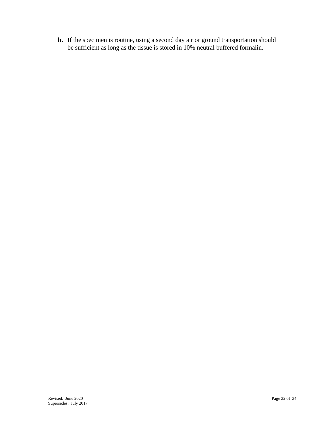**b.** If the specimen is routine, using a second day air or ground transportation should be sufficient as long as the tissue is stored in 10% neutral buffered formalin.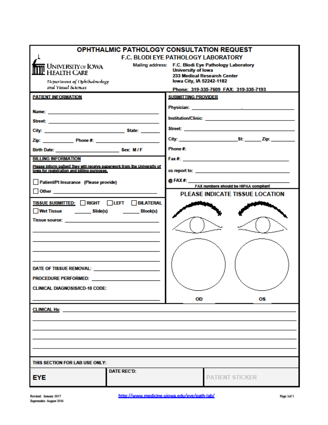| <b>OPHTHALMIC PATHOLOGY CONSULTATION REQUEST</b>                                                                                                                                                                                     |                                                                                                                                              |  |
|--------------------------------------------------------------------------------------------------------------------------------------------------------------------------------------------------------------------------------------|----------------------------------------------------------------------------------------------------------------------------------------------|--|
| <b>F.C. BLODI EYE PATHOLOGY LABORATORY</b>                                                                                                                                                                                           |                                                                                                                                              |  |
| <b>i</b> University of IOWA<br>HEALTH CARE<br>Department of Ophthalmology                                                                                                                                                            | Mailing address: F.C. Blodi Eye Pathology Laboratory<br><b>University of lowa</b><br>233 Medical Research Center<br>lowa City, IA 52242-1182 |  |
| and Visual Sciences                                                                                                                                                                                                                  | Phone: 319-335-7609 FAX: 319-335-7193                                                                                                        |  |
| <b>PATIENT INFORMATION</b>                                                                                                                                                                                                           | <b>SUBMITTING PROVIDER</b>                                                                                                                   |  |
|                                                                                                                                                                                                                                      |                                                                                                                                              |  |
|                                                                                                                                                                                                                                      |                                                                                                                                              |  |
|                                                                                                                                                                                                                                      |                                                                                                                                              |  |
|                                                                                                                                                                                                                                      |                                                                                                                                              |  |
| Birth Date: Sex: M/F                                                                                                                                                                                                                 | Phone #:                                                                                                                                     |  |
| <b>BILLING INFORMATION</b>                                                                                                                                                                                                           |                                                                                                                                              |  |
| Please inform patient they will receive paperwork from the University of<br>lows for registration and billing purposes.                                                                                                              |                                                                                                                                              |  |
| Patient/Pt Insurance (Please provide)                                                                                                                                                                                                | $@$ FAX #: $\qquad$<br>FAX numbers should be HIPAA compilant                                                                                 |  |
| <u>Other __________________________________</u>                                                                                                                                                                                      | <b>PLEASE INDICATE TISSUE LOCATION</b>                                                                                                       |  |
| TISSUE SUBMITTED: RIGHT LEFT BILATERAL                                                                                                                                                                                               |                                                                                                                                              |  |
| Wet Tissue ___________ Slide(s)<br>Block(s)                                                                                                                                                                                          |                                                                                                                                              |  |
| <b>Tissue source: William School School School School School School School School School School School School School School School School School School School School School School School School School School School School Sc</b> |                                                                                                                                              |  |
|                                                                                                                                                                                                                                      |                                                                                                                                              |  |
|                                                                                                                                                                                                                                      |                                                                                                                                              |  |
|                                                                                                                                                                                                                                      |                                                                                                                                              |  |
| DATE OF TISSUE REMOVAL: <b>And the CONSTRUCT OF TISSUE REMOVAL</b> :                                                                                                                                                                 |                                                                                                                                              |  |
| <b>PROCEDURE PERFORMED: PROCEDURE PROCEDURE</b>                                                                                                                                                                                      |                                                                                                                                              |  |
| <b>CLINICAL DIAGNOSIS/ICD-10 CODE:</b>                                                                                                                                                                                               |                                                                                                                                              |  |
|                                                                                                                                                                                                                                      | OD<br>ОS                                                                                                                                     |  |
| <b>CLINICAL Hx:</b>                                                                                                                                                                                                                  |                                                                                                                                              |  |
|                                                                                                                                                                                                                                      |                                                                                                                                              |  |
|                                                                                                                                                                                                                                      |                                                                                                                                              |  |
|                                                                                                                                                                                                                                      |                                                                                                                                              |  |
|                                                                                                                                                                                                                                      |                                                                                                                                              |  |
| THIS SECTION FOR LAB USE ONLY:                                                                                                                                                                                                       |                                                                                                                                              |  |
| <b>DATE REC'D:</b>                                                                                                                                                                                                                   |                                                                                                                                              |  |
| EYE                                                                                                                                                                                                                                  | <b>PATIENT STICKER</b>                                                                                                                       |  |